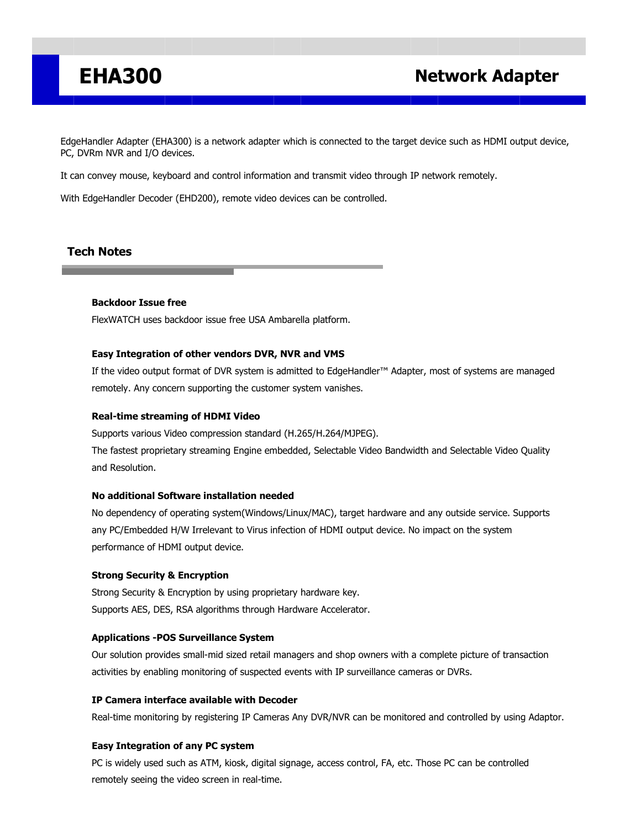## **EHA300 Network Adapter**

EdgeHandler Adapter (EHA300) is a network adapter which is connected to the target device such as HDMI output device, PC, DVRm NVR and I/O devices.

It can convey mouse, keyboard and control information and transmit video through IP network remotely.

With EdgeHandler Decoder (EHD200), remote video devices can be controlled.

## **Tech Notes**

### **Backdoor Issue free**

FlexWATCH uses backdoor issue free USA Ambarella platform.

#### **Easy Integration of other vendors DVR, NVR and VMS**

If the video output format of DVR system is admitted to EdgeHandler™ Adapter, most of systems are managed remotely. Any concern supporting the customer system vanishes.

#### **Real-time streaming of HDMI Video**

Supports various Video compression standard (H.265/H.264/MJPEG).

The fastest proprietary streaming Engine embedded, Selectable Video Bandwidth and Selectable Video Quality and Resolution.

### **No additional Software installation needed**

No dependency of operating system(Windows/Linux/MAC), target hardware and any outside service. Supports any PC/Embedded H/W Irrelevant to Virus infection of HDMI output device. No impact on the system performance of HDMI output device.

### **Strong Security & Encryption**

Strong Security & Encryption by using proprietary hardware key. Supports AES, DES, RSA algorithms through Hardware Accelerator.

#### **Applications -POS Surveillance System**

Our solution provides small-mid sized retail managers and shop owners with a complete picture of transaction activities by enabling monitoring of suspected events with IP surveillance cameras or DVRs.

#### **IP Camera interface available with Decoder**

Real-time monitoring by registering IP Cameras Any DVR/NVR can be monitored and controlled by using Adaptor.

### **Easy Integration of any PC system**

PC is widely used such as ATM, kiosk, digital signage, access control, FA, etc. Those PC can be controlled remotely seeing the video screen in real-time.